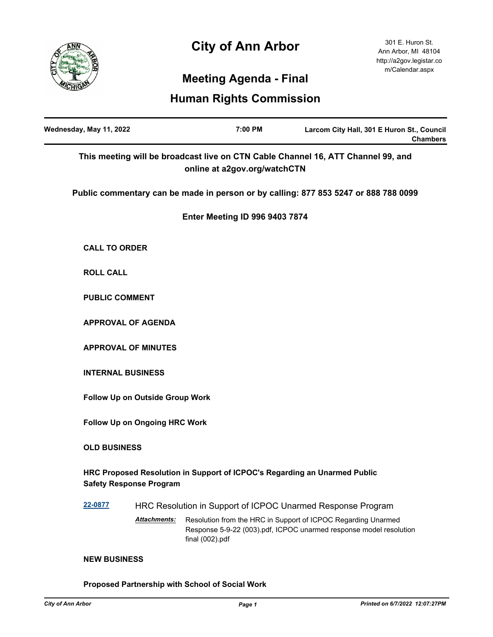# **City of Ann Arbor**



# **Meeting Agenda - Final**

## **Human Rights Commission**

| Wednesday, May 11, 2022                                                                                          | 7:00 PM                                                                   | Larcom City Hall, 301 E Huron St., Council<br><b>Chambers</b>                                                                       |
|------------------------------------------------------------------------------------------------------------------|---------------------------------------------------------------------------|-------------------------------------------------------------------------------------------------------------------------------------|
| This meeting will be broadcast live on CTN Cable Channel 16, ATT Channel 99, and<br>online at a2gov.org/watchCTN |                                                                           |                                                                                                                                     |
|                                                                                                                  |                                                                           | Public commentary can be made in person or by calling: 877 853 5247 or 888 788 0099                                                 |
|                                                                                                                  | <b>Enter Meeting ID 996 9403 7874</b>                                     |                                                                                                                                     |
| <b>CALL TO ORDER</b>                                                                                             |                                                                           |                                                                                                                                     |
| <b>ROLL CALL</b>                                                                                                 |                                                                           |                                                                                                                                     |
| <b>PUBLIC COMMENT</b>                                                                                            |                                                                           |                                                                                                                                     |
| <b>APPROVAL OF AGENDA</b>                                                                                        |                                                                           |                                                                                                                                     |
| <b>APPROVAL OF MINUTES</b>                                                                                       |                                                                           |                                                                                                                                     |
| <b>INTERNAL BUSINESS</b>                                                                                         |                                                                           |                                                                                                                                     |
| Follow Up on Outside Group Work                                                                                  |                                                                           |                                                                                                                                     |
| Follow Up on Ongoing HRC Work                                                                                    |                                                                           |                                                                                                                                     |
| <b>OLD BUSINESS</b>                                                                                              |                                                                           |                                                                                                                                     |
| <b>Safety Response Program</b>                                                                                   | HRC Proposed Resolution in Support of ICPOC's Regarding an Unarmed Public |                                                                                                                                     |
| 22-0877                                                                                                          | HRC Resolution in Support of ICPOC Unarmed Response Program               |                                                                                                                                     |
| Attachments:                                                                                                     | final (002).pdf                                                           | Resolution from the HRC in Support of ICPOC Regarding Unarmed<br>Response 5-9-22 (003).pdf, ICPOC unarmed response model resolution |
| <b>NEW BUSINESS</b>                                                                                              |                                                                           |                                                                                                                                     |

**Proposed Partnership with School of Social Work**